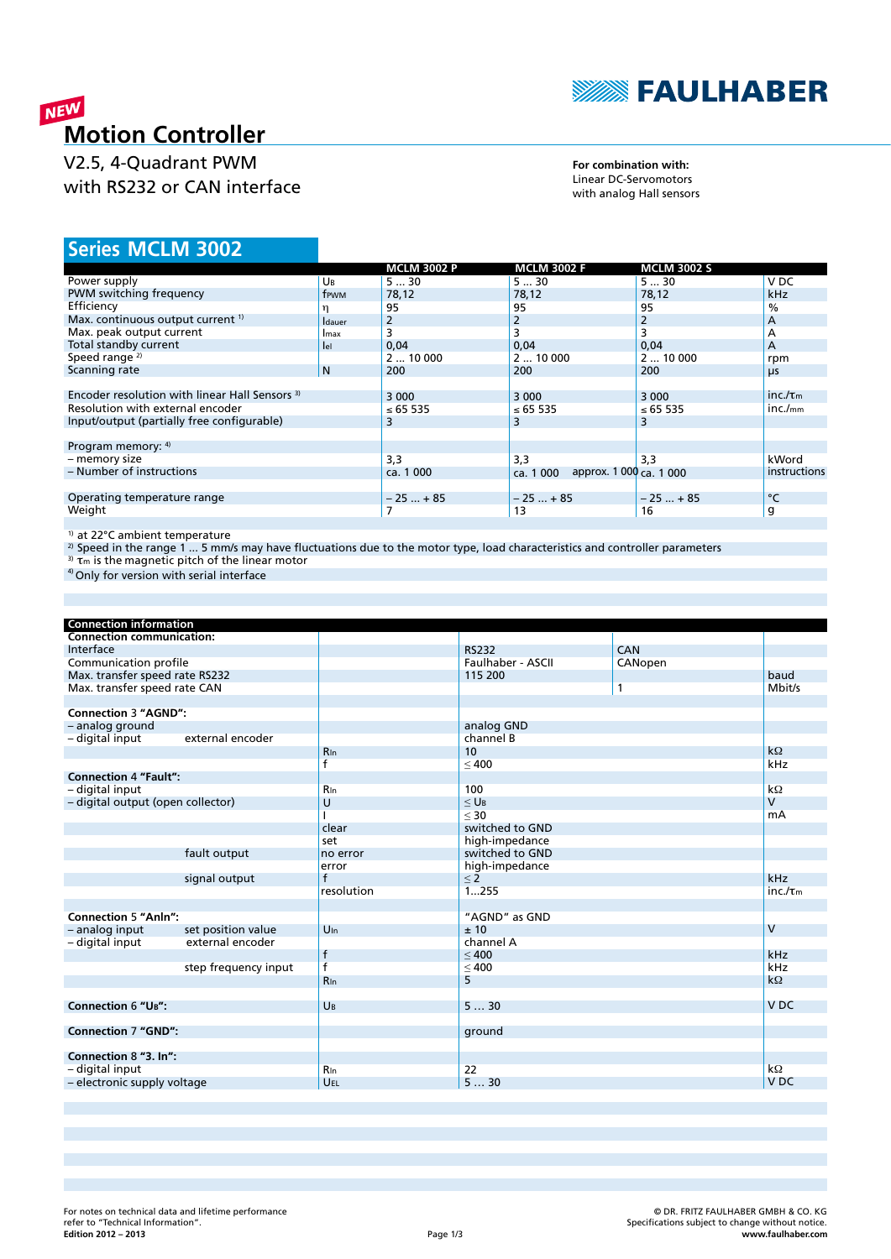

## **MEW**<br>**Motion Controller**

V2.5, 4-Quadrant PWM with RS232 or CAN interface

**For combination with:** Linear DC-Servomotors with analog Hall sensors

### **MCLM 3002 Series**

|                                                |                | <b>MCLM 3002 P</b> | <b>MCLM 3002 F</b>                   | <b>MCLM 3002 S</b> |                      |
|------------------------------------------------|----------------|--------------------|--------------------------------------|--------------------|----------------------|
| Power supply                                   | Uв             | 530                | 530                                  | 530                | V DC                 |
| PWM switching frequency                        | frwm           | 78,12              | 78,12                                | 78,12              | <b>kHz</b>           |
| Efficiency                                     |                | 95                 | 95                                   | 95                 | $\frac{0}{0}$        |
| Max. continuous output current <sup>1)</sup>   | <b>I</b> dauer | $\overline{2}$     | 2                                    |                    | A                    |
| Max. peak output current                       | Imax           | 3                  | 3                                    |                    | A                    |
| Total standby current                          | let            | 0.04               | 0.04                                 | 0,04               | A                    |
| Speed range $2$                                |                | 210000             | 210000                               | 210000             | rpm                  |
| Scanning rate                                  | N              | 200                | 200                                  | 200                | μs                   |
|                                                |                |                    |                                      |                    |                      |
| Encoder resolution with linear Hall Sensors 3) |                | 3 0 0 0            | 3 0 0 0                              | 3 0 0 0            | inc. $/\tau_{\rm m}$ |
| Resolution with external encoder               |                | ≤ 65 535           | ≤ 65 535                             | ≤ 65 535           | inc./ <sub>mm</sub>  |
| Input/output (partially free configurable)     |                | 3                  | 3                                    | 3                  |                      |
|                                                |                |                    |                                      |                    |                      |
| Program memory: 4)                             |                |                    |                                      |                    |                      |
| - memory size                                  |                | 3,3                | 3,3                                  | 3.3                | kWord                |
| - Number of instructions                       |                | ca. 1 000          | approx. 1 000 ca. 1 000<br>ca. 1 000 |                    | <i>instructions</i>  |
|                                                |                |                    |                                      |                    |                      |
| Operating temperature range                    |                | $-25+85$           | $-25+85$                             | $-25+85$           | °C                   |
| Weight                                         |                |                    | 13                                   | 16                 | g                    |
|                                                |                |                    |                                      |                    |                      |

1) at 22°C ambient temperature

<sup>2)</sup> Speed in the range 1 … 5 mm/s may have fluctuations due to the motor type, load characteristics and controller parameters<br><sup>3)</sup> τ<sub>m</sub> is the magnetic pitch of the linear motor

<sup>4)</sup> Only for version with serial interface

| <b>Connection information</b>     |                      |                 |                       |         |                 |
|-----------------------------------|----------------------|-----------------|-----------------------|---------|-----------------|
| <b>Connection communication:</b>  |                      |                 |                       |         |                 |
| Interface                         |                      |                 | <b>RS232</b>          | CAN     |                 |
| Communication profile             |                      |                 | Faulhaber - ASCII     | CANopen |                 |
| Max. transfer speed rate RS232    |                      |                 | 115 200               |         | baud            |
| Max. transfer speed rate CAN      |                      |                 |                       | 1       | Mbit/s          |
|                                   |                      |                 |                       |         |                 |
| <b>Connection 3 "AGND":</b>       |                      |                 |                       |         |                 |
| - analog ground                   |                      |                 | analog GND            |         |                 |
| - digital input                   | external encoder     |                 | channel B             |         |                 |
|                                   |                      | <b>R</b> In     | 10                    |         | $k\Omega$       |
|                                   |                      | f               | < 400                 |         | kHz             |
| <b>Connection 4 "Fault":</b>      |                      |                 |                       |         |                 |
| - digital input                   |                      | Rin             | 100                   |         | $k\Omega$       |
| - digital output (open collector) |                      | U               | $\leq$ U <sub>B</sub> |         | $\mathsf{V}$    |
|                                   |                      |                 | $30$                  |         | mA              |
|                                   |                      | clear           | switched to GND       |         |                 |
|                                   |                      | set             | high-impedance        |         |                 |
|                                   | fault output         | no error        | switched to GND       |         |                 |
|                                   |                      | error           | high-impedance        |         |                 |
|                                   | signal output        | $\mathsf{f}$    | $\leq 2$              |         | kHz             |
|                                   |                      | resolution      | 1255                  |         | $inc.\pi$       |
|                                   |                      |                 |                       |         |                 |
| <b>Connection 5 "Anln":</b>       |                      |                 | "AGND" as GND         |         |                 |
| - analog input                    | set position value   | $U_{\text{In}}$ | ±10                   |         | $\mathsf{V}$    |
| - digital input                   | external encoder     |                 | channel A             |         |                 |
|                                   |                      | $\mathsf{f}$    | < 400                 |         | kHz             |
|                                   | step frequency input | $\overline{f}$  |                       |         | kHz             |
|                                   |                      | <b>R</b> In     | $\leq 400$<br>5       |         | $k\Omega$       |
|                                   |                      |                 |                       |         |                 |
| <b>Connection 6 "UB":</b>         |                      | UB              | 530                   |         | V <sub>DC</sub> |
|                                   |                      |                 |                       |         |                 |
| <b>Connection 7 "GND":</b>        |                      |                 | ground                |         |                 |
|                                   |                      |                 |                       |         |                 |
| Connection 8 "3. In":             |                      |                 |                       |         |                 |
| - digital input                   |                      | <b>R</b> In     | 22                    |         | $k\Omega$       |
| - electronic supply voltage       |                      | <b>UEL</b>      | 530                   |         | V <sub>DC</sub> |
|                                   |                      |                 |                       |         |                 |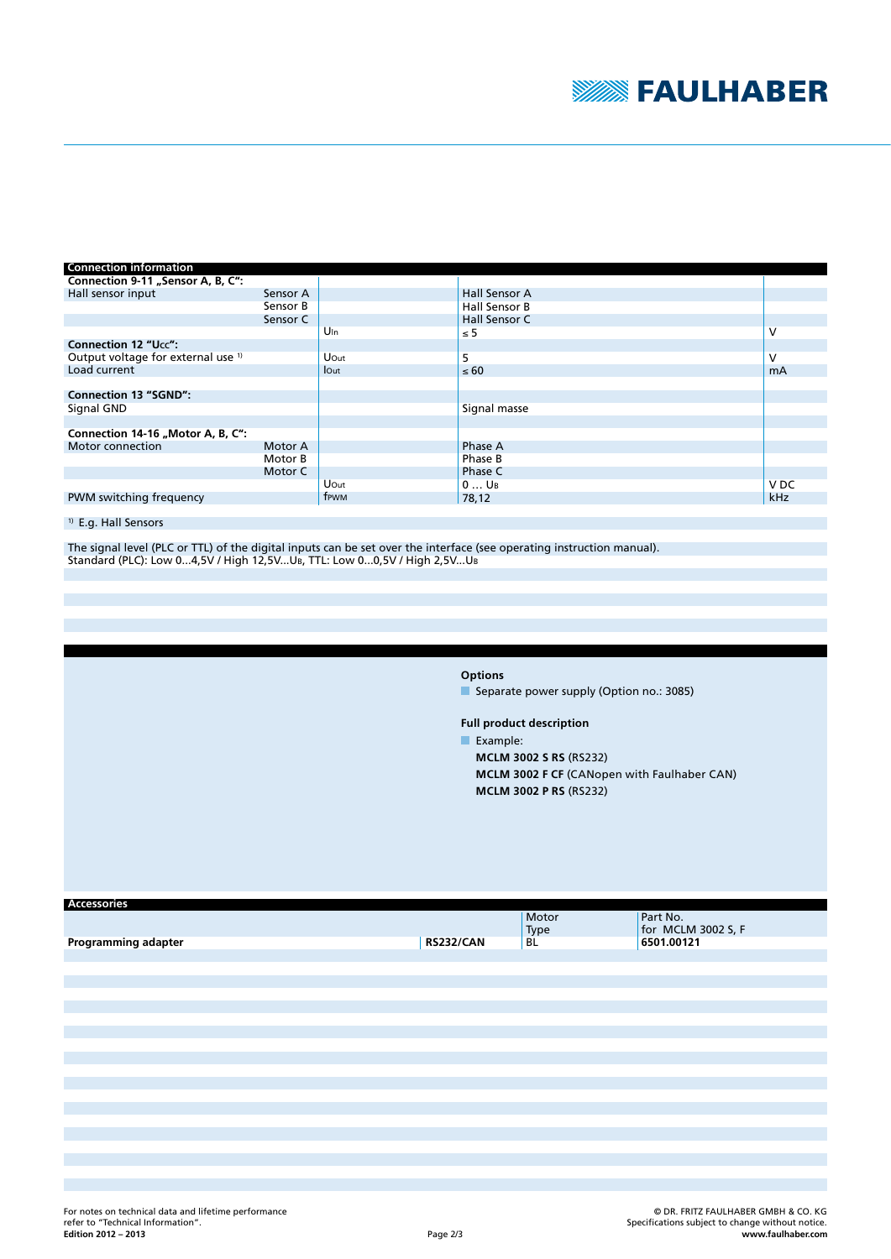

| <b>Connection information</b>                 |          |                 |                    |                 |
|-----------------------------------------------|----------|-----------------|--------------------|-----------------|
| Connection 9-11 "Sensor A, B, C":             |          |                 |                    |                 |
| Hall sensor input                             | Sensor A |                 | Hall Sensor A      |                 |
|                                               | Sensor B |                 | Hall Sensor B      |                 |
|                                               | Sensor C |                 | Hall Sensor C      |                 |
|                                               |          | $U_{\text{In}}$ | $\leq 5$           | v               |
| <b>Connection 12 "Ucc":</b>                   |          |                 |                    |                 |
| Output voltage for external use <sup>1)</sup> |          | Uout            | 5                  | v               |
| Load current                                  |          | lOut            | $\leq 60$          | <b>mA</b>       |
|                                               |          |                 |                    |                 |
| <b>Connection 13 "SGND":</b>                  |          |                 |                    |                 |
| Signal GND                                    |          |                 | Signal masse       |                 |
|                                               |          |                 |                    |                 |
| Connection 14-16 "Motor A, B, C":             |          |                 |                    |                 |
| Motor connection                              | Motor A  |                 | Phase A            |                 |
|                                               | Motor B  |                 | Phase B            |                 |
|                                               | Motor C  |                 | Phase C            |                 |
|                                               |          | Uout            | $0$ U <sub>B</sub> | V <sub>DC</sub> |
| PWM switching frequency                       |          | frwm            | 78,12              | kHz             |

### 1) E.g. Hall Sensors

The signal level (PLC or TTL) of the digital inputs can be set over the interface (see operating instruction manual). Standard (PLC): Low 0...4,5V / High 12,5V...UB, TTL: Low 0...0,5V / High 2,5V...UB

**Options**

Separate power supply (Option no.: 3085)

**Full product description**

Example:

**MCLM 3002 S RS** (RS232) **MCLM 3002 F CF** (CANopen with Faulhaber CAN) **MCLM 3002 P RS** (RS232)

| <b>Accessories</b>  |                  | Motor<br>Type | Part No.<br>for MCLM 3002 S, F |
|---------------------|------------------|---------------|--------------------------------|
| Programming adapter | <b>RS232/CAN</b> | <b>BL</b>     | 6501.00121                     |
|                     |                  |               |                                |
|                     |                  |               |                                |
|                     |                  |               |                                |
|                     |                  |               |                                |
|                     |                  |               |                                |
|                     |                  |               |                                |
|                     |                  |               |                                |
|                     |                  |               |                                |
|                     |                  |               |                                |
|                     |                  |               |                                |
|                     |                  |               |                                |
|                     |                  |               |                                |
|                     |                  |               |                                |
|                     |                  |               |                                |